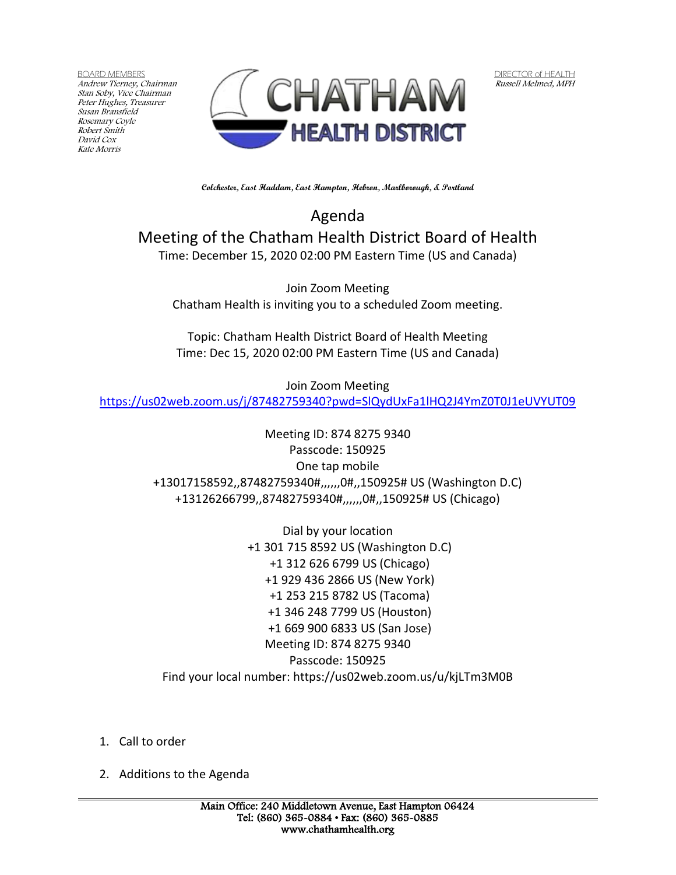BOARD MEMBERS Andrew Tierney, Chairman Stan Soby, Vice Chairman Peter Hughes, Treasurer Susan Bransfield Rosemary Coyle Robert Smith David Cox Kate Morris



DIRECTOR of HEALTH Russell Melmed, MPH

**Colchester, East Haddam, East Hampton, Hebron, Marlborough, & Portland**

Agenda Meeting of the Chatham Health District Board of Health Time: December 15, 2020 02:00 PM Eastern Time (US and Canada)

Join Zoom Meeting Chatham Health is inviting you to a scheduled Zoom meeting.

Topic: Chatham Health District Board of Health Meeting Time: Dec 15, 2020 02:00 PM Eastern Time (US and Canada)

Join Zoom Meeting <https://us02web.zoom.us/j/87482759340?pwd=SlQydUxFa1lHQ2J4YmZ0T0J1eUVYUT09>

> Meeting ID: 874 8275 9340 Passcode: 150925 One tap mobile +13017158592,,87482759340#,,,,,,0#,,150925# US (Washington D.C) +13126266799,,87482759340#,,,,,,0#,,150925# US (Chicago)

Dial by your location +1 301 715 8592 US (Washington D.C) +1 312 626 6799 US (Chicago) +1 929 436 2866 US (New York) +1 253 215 8782 US (Tacoma) +1 346 248 7799 US (Houston) +1 669 900 6833 US (San Jose) Meeting ID: 874 8275 9340 Passcode: 150925 Find your local number: https://us02web.zoom.us/u/kjLTm3M0B

- 1. Call to order
- 2. Additions to the Agenda